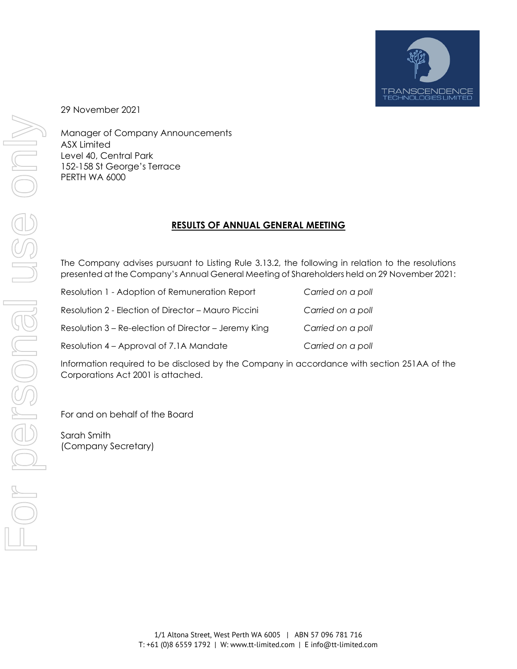

29 November 2021

Manager of Company Announcements ASX Limited Level 40, Central Park 152-158 St George's Terrace PERTH WA 6000

## **RESULTS OF ANNUAL GENERAL MEETING**

The Company advises pursuant to Listing Rule 3.13.2, the following in relation to the resolutions presented at the Company's Annual General Meeting of Shareholders held on 29 November 2021:

| Resolution 1 - Adoption of Remuneration Report       | Carried on a poll |
|------------------------------------------------------|-------------------|
| Resolution 2 - Election of Director - Mauro Piccini  | Carried on a poll |
| Resolution 3 – Re-election of Director – Jeremy King | Carried on a poll |
| Resolution 4 – Approval of 7.1A Mandate              | Carried on a poll |

Information required to be disclosed by the Company in accordance with section 251AA of the Corporations Act 2001 is attached.

For and on behalf of the Board

Sarah Smith (Company Secretary)